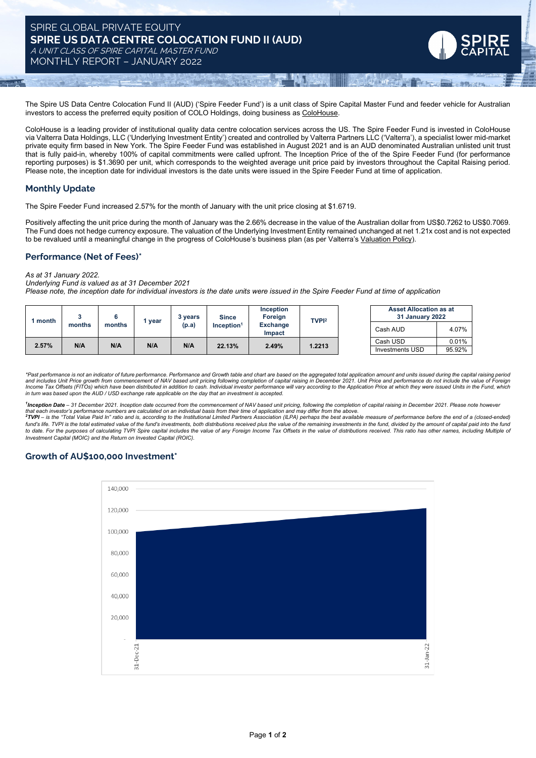## SPIRE GLOBAL PRIVATE EQUITY **SPIRE US DATA CENTRE COLOCATION FUND II (AUD)** A UNIT CLASS OF SPIRE CAPITAL MASTER FUND

MONTHLY REPORT – JANUARY 2022

The Spire US Data Centre Colocation Fund II (AUD) ('Spire Feeder Fund') is a unit class of Spire Capital Master Fund and feeder vehicle for Australian investors to access the preferred equity position of COLO Holdings, doing business as [ColoHouse.](https://colohouse.com/)

ColoHouse is a leading provider of institutional quality data centre colocation services across the US. The Spire Feeder Fund is invested in ColoHouse via Valterra Data Holdings, LLC ('Underlying Investment Entity') created and controlled by Valterra Partners LLC ('Valterra'), a specialist lower mid-market private equity firm based in New York. The Spire Feeder Fund was established in August 2021 and is an AUD denominated Australian unlisted unit trust that is fully paid-in, whereby 100% of capital commitments were called upfront. The Inception Price of the of the Spire Feeder Fund (for performance reporting purposes) is \$1.3690 per unit, which corresponds to the weighted average unit price paid by investors throughout the Capital Raising period. Please note, the inception date for individual investors is the date units were issued in the Spire Feeder Fund at time of application.

### **Monthly Update**

The Spire Feeder Fund increased 2.57% for the month of January with the unit price closing at \$1.6719.

Positively affecting the unit price during the month of January was the 2.66% decrease in the value of the Australian dollar from US\$0.7262 to US\$0.7069. The Fund does not hedge currency exposure. The valuation of the Underlying Investment Entity remained unchanged at net 1.21x cost and is not expected to be revalued until a meaningful change in the progress of ColoHouse's business plan (as per Valterra's [Valuation](https://www.dropbox.com/s/o7wjxz4rp9ypl5h/Valterra%20Partners%20Valuation%20Policy.pdf?dl=0) Policy).

#### **Performance (Net of Fees)\***

*As at 31 January 2022.*

*Underlying Fund is valued as at 31 December 2021*

Please note, the inception date for individual investors is the date units were issued in the Spire Feeder Fund at time of application

| month | months | months | 1 year | 3 vears<br>(p.a) | <b>Since</b><br>$Inc$ eption <sup>1</sup> | Inception<br>Foreign<br><b>Exchange</b><br><b>Impact</b> | TVP <sup>2</sup> |  | <b>Asset Allocation as at</b><br>31 January 2022 |        |
|-------|--------|--------|--------|------------------|-------------------------------------------|----------------------------------------------------------|------------------|--|--------------------------------------------------|--------|
|       |        |        |        |                  |                                           |                                                          |                  |  | Cash AUD                                         | 4.07%  |
| 2.57% | N/A    | N/A    | N/A    | N/A              | 22.13%                                    | 2.49%                                                    | 1.2213           |  | Cash USD                                         | 0.01%  |
|       |        |        |        |                  |                                           |                                                          |                  |  | Investments USD                                  | 95.92% |

\*Past performance is not an indicator of future performance. Performance and Growth table and chart are based on the aggregated total application amount and units issued during the capital raising period and includes Unit Price growth from commencement of NAV based unit pricing following completion of capital raising in December 2021. Unit Price and performance do not include the value of Foreigr<br>Income Tax Offsets (FITOs) in turn was based upon the AUD / USD exchange rate applicable on the day that an investment is accepted.

<sup>1</sup>Inception Date - 31 December 2021. Inception date occurred from the commencement of NAV based unit pricing, following the completion of capital raising in December 2021. Please note however

that each investor's performance numbers are calculated on an individual basis from theit time of application and may differ from the above.<br><sup>2</sup>TVPI – is the "Total Value Paid In" ratio and is, according to the Institution fund's life. TVPI is the total estimated value of the fund's investments, both distributions received plus the value of the remaining investments in the fund, divided by the amount of capital paid into the fund to date. For the purposes of calculating TVPI Spire capital includes the value of any Foreign Income Tax Offsets in the value of distributions received. This ratio has other names, including Multiple of *Investment Capital (MOIC) and the Return on Invested Capital (ROIC).*

# **Growth of AU\$100,000 Investment\***